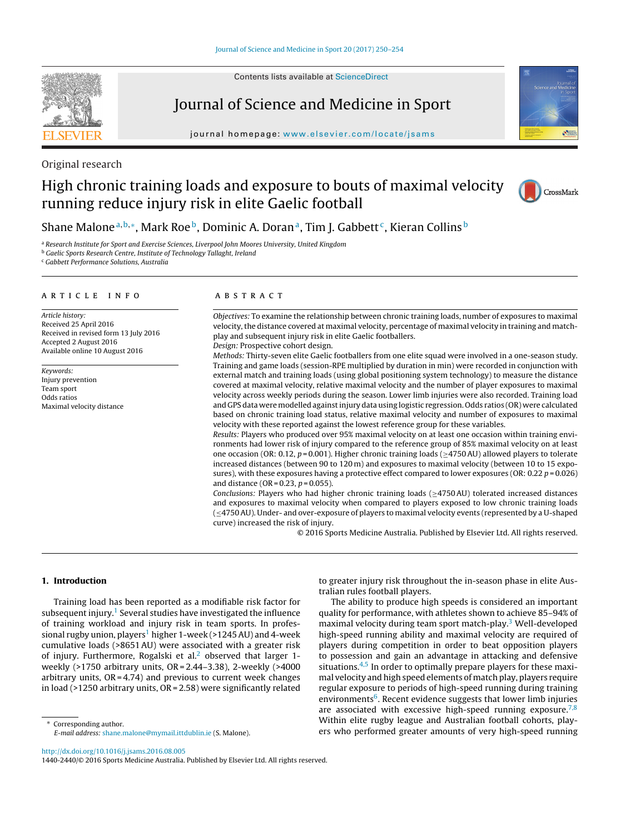Contents lists available at [ScienceDirect](http://www.sciencedirect.com/science/journal/14402440)

# Journal of Science and Medicine in Sport

journal homepage: [www.elsevier.com/locate/jsams](http://www.elsevier.com/locate/jsams)



Original research

# High chronic training loads and exposure to bouts of maximal velocity running reduce injury risk in elite Gaelic football



# Shane Malone<sup>a, b,∗</sup>, Mark Roe<sup>b</sup>, Dominic A. Doran<sup>a</sup>, Tim J. Gabbett<sup>c</sup>, Kieran Collins<sup>b</sup>

<sup>a</sup> Research Institute for Sport and Exercise Sciences, Liverpool John Moores University, United Kingdom

**b** Gaelic Sports Research Centre, Institute of Technology Tallaght, Ireland

<sup>c</sup> Gabbett Performance Solutions, Australia

### A R T I C L E I N F O

Article history: Received 25 April 2016 Received in revised form 13 July 2016 Accepted 2 August 2016 Available online 10 August 2016

Keywords: Injury prevention Team sport Odds ratios Maximal velocity distance

# A B S T R A C T

Objectives: To examine the relationship between chronic training loads, number of exposures to maximal velocity, the distance covered at maximal velocity, percentage of maximal velocity in training and matchplay and subsequent injury risk in elite Gaelic footballers. Design: Prospective cohort design.

Methods: Thirty-seven elite Gaelic footballers from one elite squad were involved in a one-season study. Training and game loads (session-RPE multiplied by duration in min) were recorded in conjunction with external match and training loads (using global positioning system technology) to measure the distance covered at maximal velocity, relative maximal velocity and the number of player exposures to maximal velocity across weekly periods during the season. Lower limb injuries were also recorded. Training load and GPS data were modelled against injury data using logistic regression. Odds ratios (OR) were calculated based on chronic training load status, relative maximal velocity and number of exposures to maximal velocity with these reported against the lowest reference group for these variables.

Results: Players who produced over 95% maximal velocity on at least one occasion within training environments had lower risk of injury compared to the reference group of 85% maximal velocity on at least one occasion (OR: 0.12,  $p = 0.001$ ). Higher chronic training loads ( $\geq$ 4750AU) allowed players to tolerate increased distances (between 90 to 120 m) and exposures to maximal velocity (between 10 to 15 exposures), with these exposures having a protective effect compared to lower exposures (OR: 0.22  $p = 0.026$ ) and distance (OR = 0.23,  $p = 0.055$ ).

Conclusions: Players who had higher chronic training loads (≥4750AU) tolerated increased distances and exposures to maximal velocity when compared to players exposed to low chronic training loads (≤4750AU). Under- and over-exposure of players to maximal velocity events (represented by a U-shaped curve) increased the risk of injury.

© 2016 Sports Medicine Australia. Published by Elsevier Ltd. All rights reserved.

# **1. Introduction**

Training load has been reported as a modifiable risk factor for subsequent injury.<sup>1</sup> Several studies have investigated the influence of training workload and injury risk in team sports. In professional rugby union, players<sup>1</sup> higher 1-week (>1245 AU) and 4-week cumulative loads (>8651AU) were associated with a greater risk of injury. Furthermore, Rogalski et al.<sup>[2](#page-4-0)</sup> observed that larger 1weekly (>1750 arbitrary units, OR = 2.44–3.38), 2-weekly (>4000 arbitrary units,  $OR = 4.74$ ) and previous to current week changes in load (>1250 arbitrary units, OR = 2.58) were significantly related

∗ Corresponding author. E-mail address: [shane.malone@mymail.ittdublin.ie](mailto:shane.malone@mymail.ittdublin.ie) (S. Malone). to greater injury risk throughout the in-season phase in elite Australian rules football players.

The ability to produce high speeds is considered an important quality for performance, with athletes shown to achieve 85–94% of maximal velocity during team sport match-play.<sup>[3](#page-4-0)</sup> Well-developed high-speed running ability and maximal velocity are required of players during competition in order to beat opposition players to possession and gain an advantage in attacking and defensive situations. $4,5$  In order to optimally prepare players for these maximal velocity and high speed elements of match play, players require regular exposure to periods of high-speed running during training environments<sup>6</sup>. Recent evidence suggests that lower limb injuries are associated with excessive high-speed running exposure.<sup>[7,8](#page-4-0)</sup> Within elite rugby league and Australian football cohorts, players who performed greater amounts of very high-speed running

[http://dx.doi.org/10.1016/j.jsams.2016.08.005](dx.doi.org/10.1016/j.jsams.2016.08.005)

1440-2440/© 2016 Sports Medicine Australia. Published by Elsevier Ltd. All rights reserved.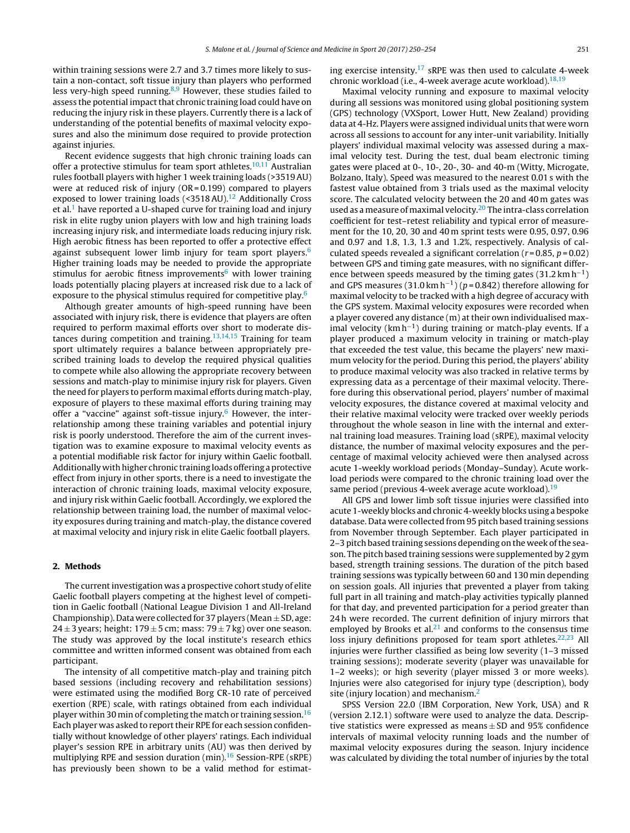within training sessions were 2.7 and 3.7 times more likely to sustain a non-contact, soft tissue injury than players who performed less very-high speed running.<sup>8,9</sup> However, these studies failed to assess the potential impact that chronic training load could have on reducing the injury risk in these players. Currently there is a lack of understanding of the potential benefits of maximal velocity exposures and also the minimum dose required to provide protection against injuries.

Recent evidence suggests that high chronic training loads can offer a protective stimulus for team sport athletes.<sup>10,11</sup> Australian rules football players with higher 1 week training loads (>3519AU) were at reduced risk of injury (OR = 0.199) compared to players exposed to lower training loads  $\left($  <3518 AU).<sup>12</sup> Additionally Cross et al.<sup>[1](#page-4-0)</sup> have reported a U-shaped curve for training load and injury risk in elite rugby union players with low and high training loads increasing injury risk, and intermediate loads reducing injury risk. High aerobic fitness has been reported to offer a protective effect against subsequent lower limb injury for team sport players.<sup>6</sup> Higher training loads may be needed to provide the appropriate stimulus for aerobic fitness improvements $6$  with lower training loads potentially placing players at increased risk due to a lack of exposure to the physical stimulus required for competitive play.<sup>[6](#page-4-0)</sup>

Although greater amounts of high-speed running have been associated with injury risk, there is evidence that players are often required to perform maximal efforts over short to moderate distances during competition and training.[13,14,15](#page-4-0) Training for team sport ultimately requires a balance between appropriately prescribed training loads to develop the required physical qualities to compete while also allowing the appropriate recovery between sessions and match-play to minimise injury risk for players. Given the need for players to perform maximal efforts during match-play, exposure of players to these maximal efforts during training may offer a "vaccine" against soft-tissue injury.<sup>6</sup> However, the interrelationship among these training variables and potential injury risk is poorly understood. Therefore the aim of the current investigation was to examine exposure to maximal velocity events as a potential modifiable risk factor for injury within Gaelic football. Additionally withhigher chronic training loads offering a protective effect from injury in other sports, there is a need to investigate the interaction of chronic training loads, maximal velocity exposure, and injury risk within Gaelic football. Accordingly, we explored the relationship between training load, the number of maximal velocity exposures during training and match-play, the distance covered at maximal velocity and injury risk in elite Gaelic football players.

# **2. Methods**

The current investigation was a prospective cohort study of elite Gaelic football players competing at the highest level of competition in Gaelic football (National League Division 1 and All-Ireland Championship). Data were collected for 37 players (Mean  $\pm$  SD, age: 24  $\pm$  3 years; height: 179  $\pm$  5 cm; mass: 79  $\pm$  7 kg) over one season. The study was approved by the local institute's research ethics committee and written informed consent was obtained from each participant.

The intensity of all competitive match-play and training pitch based sessions (including recovery and rehabilitation sessions) were estimated using the modified Borg CR-10 rate of perceived exertion (RPE) scale, with ratings obtained from each individual player within 30 min of completing the match or training session.  $16$ Each player was asked to report their RPE for each session confidentially without knowledge of other players' ratings. Each individual player's session RPE in arbitrary units (AU) was then derived by multiplying RPE and session duration (min).<sup>16</sup> Session-RPE (sRPE) has previously been shown to be a valid method for estimating exercise intensity.<sup>[17](#page-4-0)</sup> sRPE was then used to calculate 4-week chronic workload (i.e., 4-week average acute workload).  $18,19$ 

Maximal velocity running and exposure to maximal velocity during all sessions was monitored using global positioning system (GPS) technology (VXSport, Lower Hutt, New Zealand) providing data at 4-Hz. Players were assigned individual units that were worn across all sessions to account for any inter-unit variability. Initially players' individual maximal velocity was assessed during a maximal velocity test. During the test, dual beam electronic timing gates were placed at 0-, 10-, 20-, 30- and 40-m (Witty, Microgate, Bolzano, Italy). Speed was measured to the nearest 0.01 s with the fastest value obtained from 3 trials used as the maximal velocity score. The calculated velocity between the 20 and 40 m gates was used as a measure of maximal velocity.<sup>20</sup> The intra-class correlation coefficient for test–retest reliability and typical error of measurement for the 10, 20, 30 and 40 m sprint tests were 0.95, 0.97, 0.96 and 0.97 and 1.8, 1.3, 1.3 and 1.2%, respectively. Analysis of calculated speeds revealed a significant correlation ( $r = 0.85$ ,  $p = 0.02$ ) between GPS and timing gate measures, with no significant difference between speeds measured by the timing gates (31.2 km h<sup>-1</sup>) and GPS measures (31.0 km h<sup>-1</sup>) ( $p = 0.842$ ) therefore allowing for maximal velocity to be tracked with a high degree of accuracy with the GPS system. Maximal velocity exposures were recorded when a player covered any distance (m) at their own individualised maximal velocity ( $km h^{-1}$ ) during training or match-play events. If a player produced a maximum velocity in training or match-play that exceeded the test value, this became the players' new maximum velocity for the period. During this period, the players' ability to produce maximal velocity was also tracked in relative terms by expressing data as a percentage of their maximal velocity. Therefore during this observational period, players' number of maximal velocity exposures, the distance covered at maximal velocity and their relative maximal velocity were tracked over weekly periods throughout the whole season in line with the internal and external training load measures. Training load (sRPE), maximal velocity distance, the number of maximal velocity exposures and the percentage of maximal velocity achieved were then analysed across acute 1-weekly workload periods (Monday–Sunday). Acute workload periods were compared to the chronic training load over the same period (previous 4-week average acute workload).<sup>[19](#page-4-0)</sup>

All GPS and lower limb soft tissue injuries were classified into acute 1-weekly blocks and chronic 4-weekly blocks using a bespoke database. Data were collected from 95 pitch based training sessions from November through September. Each player participated in 2–3 pitch based training sessions depending on the week ofthe season. The pitch based training sessions were supplemented by 2 gym based, strength training sessions. The duration of the pitch based training sessions was typically between 60 and 130 min depending on session goals. All injuries that prevented a player from taking full part in all training and match-play activities typically planned for that day, and prevented participation for a period greater than 24 h were recorded. The current definition of injury mirrors that employed by Brooks et al. $21$  and conforms to the consensus time loss injury definitions proposed for team sport athletes.<sup>22,23</sup> All injuries were further classified as being low severity (1–3 missed training sessions); moderate severity (player was unavailable for 1–2 weeks); or high severity (player missed 3 or more weeks). Injuries were also categorised for injury type (description), body site (injury location) and mechanism. $<sup>2</sup>$ </sup>

SPSS Version 22.0 (IBM Corporation, New York, USA) and R (version 2.12.1) software were used to analyze the data. Descriptive statistics were expressed as means  $\pm$  SD and 95% confidence intervals of maximal velocity running loads and the number of maximal velocity exposures during the season. Injury incidence was calculated by dividing the total number of injuries by the total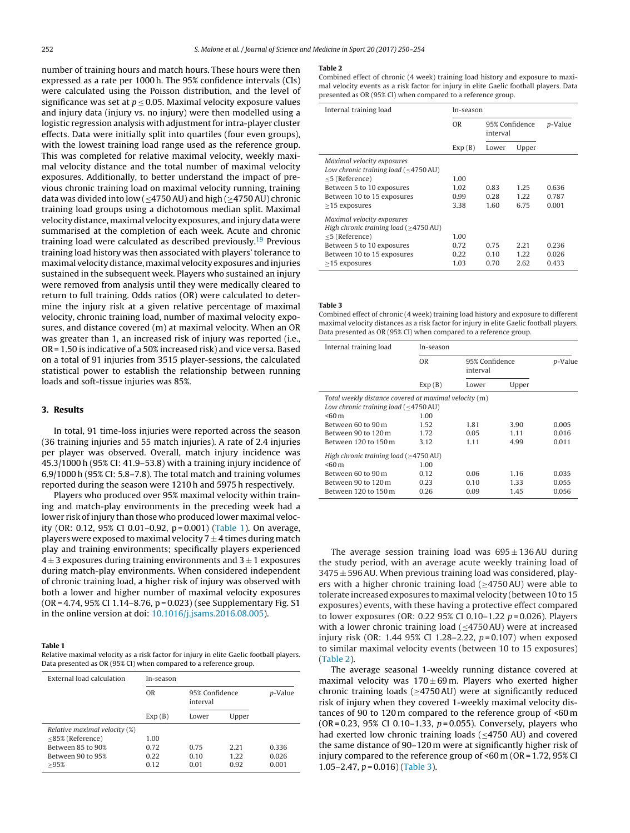<span id="page-2-0"></span>number of training hours and match hours. These hours were then expressed as a rate per 1000 h. The 95% confidence intervals (CIs) were calculated using the Poisson distribution, and the level of significance was set at  $p \le 0.05$ . Maximal velocity exposure values and injury data (injury vs. no injury) were then modelled using a logistic regression analysis with adjustment for intra-player cluster effects. Data were initially split into quartiles (four even groups), with the lowest training load range used as the reference group. This was completed for relative maximal velocity, weekly maximal velocity distance and the total number of maximal velocity exposures. Additionally, to better understand the impact of previous chronic training load on maximal velocity running, training data was divided into low ( $\leq$ 4750 AU) and high ( $\geq$ 4750 AU) chronic training load groups using a dichotomous median split. Maximal velocity distance,maximal velocity exposures, and injury data were summarised at the completion of each week. Acute and chronic training load were calculated as described previously.<sup>19</sup> Previous training load history was then associated with players' tolerance to maximal velocitydistance,maximal velocity exposures andinjuries sustained in the subsequent week. Players who sustained an injury were removed from analysis until they were medically cleared to return to full training. Odds ratios (OR) were calculated to determine the injury risk at a given relative percentage of maximal velocity, chronic training load, number of maximal velocity exposures, and distance covered (m) at maximal velocity. When an OR was greater than 1, an increased risk of injury was reported (i.e., OR = 1.50 is indicative of a 50% increased risk) and vice versa. Based on a total of 91 injuries from 3515 player-sessions, the calculated statistical power to establish the relationship between running loads and soft-tissue injuries was 85%.

### **3. Results**

In total, 91 time-loss injuries were reported across the season (36 training injuries and 55 match injuries). A rate of 2.4 injuries per player was observed. Overall, match injury incidence was 45.3/1000 h (95% CI: 41.9–53.8) with a training injury incidence of 6.9/1000 h (95% CI: 5.8–7.8). The total match and training volumes reported during the season were 1210 h and 5975 h respectively.

Players who produced over 95% maximal velocity within training and match-play environments in the preceding week had a lower risk of injury than those who produced lower maximal velocity (OR: 0.12, 95% CI 0.01–0.92,  $p = 0.001$ ) (Table 1). On average, players were exposed to maximal velocity  $7 \pm 4$  times during match play and training environments; specifically players experienced  $4 \pm 3$  exposures during training environments and  $3 \pm 1$  exposures during match-play environments. When considered independent of chronic training load, a higher risk of injury was observed with both a lower and higher number of maximal velocity exposures (OR = 4.74, 95% CI 1.14–8.76, p = 0.023) (see Supplementary Fig. S1 in the online version at doi: [10.1016/j.jsams.2016.08.005\)](http://10.1016/j.jsams.2016.08.005).

#### **Table 1**

Relative maximal velocity as a risk factor for injury in elite Gaelic football players. Data presented as OR (95% CI) when compared to a reference group.

| External load calculation     | In-season      |          |                |       |  |
|-------------------------------|----------------|----------|----------------|-------|--|
|                               | 0 <sub>R</sub> | interval | 95% Confidence |       |  |
|                               | Exp(B)         | Lower    | Upper          |       |  |
| Relative maximal velocity (%) |                |          |                |       |  |
| <85% (Reference)              | 1.00           |          |                |       |  |
| Between 85 to 90%             | 0.72           | 0.75     | 2.21           | 0.336 |  |
| Between 90 to 95%             | 0.22           | 0.10     | 1.22           | 0.026 |  |
| >95%                          | 0.12           | 0.01     | 0.92           | 0.001 |  |

#### **Table 2**

Combined effect of chronic (4 week) training load history and exposure to maximal velocity events as a risk factor for injury in elite Gaelic football players. Data presented as OR (95% CI) when compared to a reference group.

| Internal training load                                                        | In-season      |                            |       |         |
|-------------------------------------------------------------------------------|----------------|----------------------------|-------|---------|
|                                                                               | 0 <sub>R</sub> | 95% Confidence<br>interval |       | p-Value |
|                                                                               | Exp(B)         | Lower                      | Upper |         |
| Maximal velocity exposures<br>Low chronic training load (<4750 AU)            |                |                            |       |         |
| $<$ 5 (Reference)                                                             | 1.00           |                            |       |         |
| Between 5 to 10 exposures                                                     | 1.02           | 0.83                       | 1.25  | 0.636   |
| Between 10 to 15 exposures                                                    | 0.99           | 0.28                       | 1.22  | 0.787   |
| $>15$ exposures                                                               | 3.38           | 1.60                       | 6.75  | 0.001   |
| Maximal velocity exposures<br>High chronic training load $(>4750 \text{ AU})$ |                |                            |       |         |
| $<$ 5 (Reference)                                                             | 1.00           |                            |       |         |
| Between 5 to 10 exposures                                                     | 0.72           | 0.75                       | 2.21  | 0.236   |
| Between 10 to 15 exposures                                                    | 0.22           | 0.10                       | 1.22  | 0.026   |
| $>15$ exposures                                                               | 1.03           | 0.70                       | 2.62  | 0.433   |

**Table 3**

Combined effect of chronic (4 week) training load history and exposure to different maximal velocity distances as a risk factor for injury in elite Gaelic football players. Data presented as OR (95% CI) when compared to a reference group.

| Internal training load                                | In-season |          |                |       |  |  |  |  |  |
|-------------------------------------------------------|-----------|----------|----------------|-------|--|--|--|--|--|
|                                                       | 0R        | interval | 95% Confidence |       |  |  |  |  |  |
|                                                       | Exp(B)    | Lower    | Upper          |       |  |  |  |  |  |
| Total weekly distance covered at maximal velocity (m) |           |          |                |       |  |  |  |  |  |
| Low chronic training load (<4750 AU)                  |           |          |                |       |  |  |  |  |  |
| $< 60 \text{ m}$                                      | 1.00      |          |                |       |  |  |  |  |  |
| Between 60 to 90 m                                    | 1.52      | 1.81     | 3.90           | 0.005 |  |  |  |  |  |
| Between 90 to 120 m                                   | 1.72      | 0.05     | 1.11           | 0.016 |  |  |  |  |  |
| Between 120 to 150 m                                  | 3.12      | 1.11     | 4.99           | 0.011 |  |  |  |  |  |
| High chronic training load $(>4750 \text{ AU})$       |           |          |                |       |  |  |  |  |  |
| $< 60 \text{ m}$                                      | 1.00      |          |                |       |  |  |  |  |  |
| Between 60 to 90 m                                    | 0.12      | 0.06     | 1.16           | 0.035 |  |  |  |  |  |
| Between 90 to 120 m                                   | 0.23      | 0.10     | 1.33           | 0.055 |  |  |  |  |  |
| Between 120 to 150 m                                  | 0.26      | 0.09     | 1.45           | 0.056 |  |  |  |  |  |

The average session training load was  $695 \pm 136$  AU during the study period, with an average acute weekly training load of  $3475 \pm 596$  AU. When previous training load was considered, players with a higher chronic training load ( $\geq$ 4750AU) were able to tolerate increased exposures to maximal velocity (between 10 to 15 exposures) events, with these having a protective effect compared to lower exposures (OR: 0.22 95% CI 0.10–1.22  $p = 0.026$ ). Players with a lower chronic training load  $(\leq$ 4750AU) were at increased injury risk (OR: 1.44 95% CI 1.28-2.22,  $p = 0.107$ ) when exposed to similar maximal velocity events (between 10 to 15 exposures) (Table 2).

The average seasonal 1-weekly running distance covered at maximal velocity was  $170 \pm 69$  m. Players who exerted higher chronic training loads ( $\geq$ 4750AU) were at significantly reduced risk of injury when they covered 1-weekly maximal velocity distances of 90 to 120 m compared to the reference group of <60 m  $(OR = 0.23, 95\% \text{ CI } 0.10 - 1.33, p = 0.055)$ . Conversely, players who had exerted low chronic training loads (<4750 AU) and covered the same distance of 90–120 m were at significantly higher risk of injury compared to the reference group of <60 m (OR = 1.72, 95% CI 1.05–2.47,  $p = 0.016$ ) (Table 3).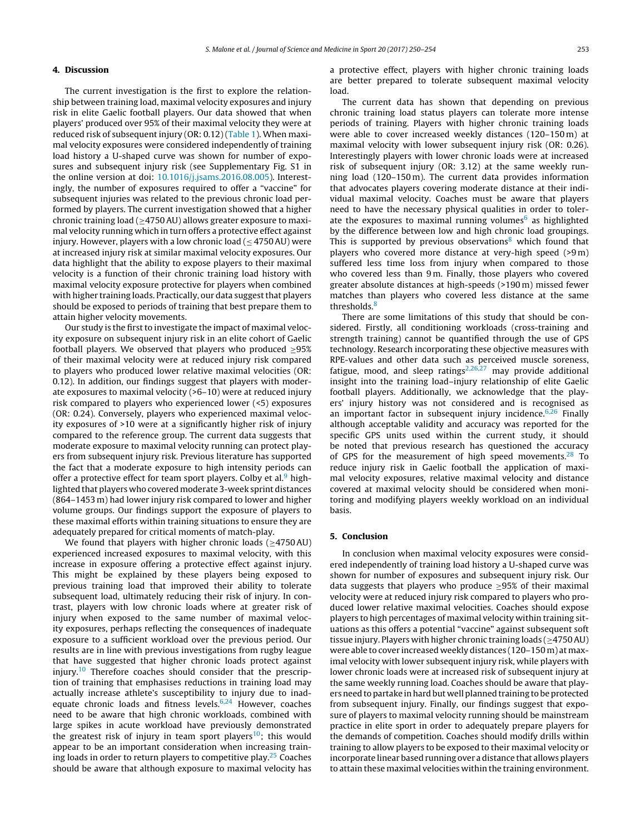# **4. Discussion**

The current investigation is the first to explore the relationship between training load, maximal velocity exposures and injury risk in elite Gaelic football players. Our data showed that when players' produced over 95% of their maximal velocity they were at reduced risk of subsequent injury (OR: 0.12) [\(Table](#page-2-0) 1). When maximal velocity exposures were considered independently of training load history a U-shaped curve was shown for number of exposures and subsequent injury risk (see Supplementary Fig. S1 in the online version at doi: [10.1016/j.jsams.2016.08.005](http://10.1016/j.jsams.2016.08.005)). Interestingly, the number of exposures required to offer a "vaccine" for subsequent injuries was related to the previous chronic load performed by players. The current investigation showed that a higher chronic training load ( $\geq$ 4750 AU) allows greater exposure to maximal velocity running which in turn offers a protective effect against injury. However, players with a low chronic load ( $\leq$  4750 AU) were at increased injury risk at similar maximal velocity exposures. Our data highlight that the ability to expose players to their maximal velocity is a function of their chronic training load history with maximal velocity exposure protective for players when combined with higher training loads. Practically, our data suggest that players should be exposed to periods of training that best prepare them to attain higher velocity movements.

Our study is the first to investigate the impact of maximal velocity exposure on subsequent injury risk in an elite cohort of Gaelic football players. We observed that players who produced  $\geq 95\%$ of their maximal velocity were at reduced injury risk compared to players who produced lower relative maximal velocities (OR: 0.12). In addition, our findings suggest that players with moderate exposures to maximal velocity (>6–10) were at reduced injury risk compared to players who experienced lower (<5) exposures (OR: 0.24). Conversely, players who experienced maximal velocity exposures of >10 were at a significantly higher risk of injury compared to the reference group. The current data suggests that moderate exposure to maximal velocity running can protect players from subsequent injury risk. Previous literature has supported the fact that a moderate exposure to high intensity periods can offer a protective effect for team sport players. Colby et al. $9$  highlighted that players who covered moderate 3-week sprint distances (864–1453 m) had lower injury risk compared to lower and higher volume groups. Our findings support the exposure of players to these maximal efforts within training situations to ensure they are adequately prepared for critical moments of match-play.

We found that players with higher chronic loads ( $\geq$ 4750AU) experienced increased exposures to maximal velocity, with this increase in exposure offering a protective effect against injury. This might be explained by these players being exposed to previous training load that improved their ability to tolerate subsequent load, ultimately reducing their risk of injury. In contrast, players with low chronic loads where at greater risk of injury when exposed to the same number of maximal velocity exposures, perhaps reflecting the consequences of inadequate exposure to a sufficient workload over the previous period. Our results are in line with previous investigations from rugby league that have suggested that higher chronic loads protect against injury.<sup>[10](#page-4-0)</sup> Therefore coaches should consider that the prescription of training that emphasises reductions in training load may actually increase athlete's susceptibility to injury due to inadequate chronic loads and fitness levels.<sup>6,24</sup> However, coaches need to be aware that high chronic workloads, combined with large spikes in acute workload have previously demonstrated the greatest risk of injury in team sport players<sup>10</sup>; this would appear to be an important consideration when increasing training loads in order to return players to competitive play.<sup>25</sup> Coaches should be aware that although exposure to maximal velocity has

a protective effect, players with higher chronic training loads are better prepared to tolerate subsequent maximal velocity load.

The current data has shown that depending on previous chronic training load status players can tolerate more intense periods of training. Players with higher chronic training loads were able to cover increased weekly distances (120–150 m) at maximal velocity with lower subsequent injury risk (OR: 0.26). Interestingly players with lower chronic loads were at increased risk of subsequent injury (OR: 3.12) at the same weekly running load (120–150 m). The current data provides information that advocates players covering moderate distance at their individual maximal velocity. Coaches must be aware that players need to have the necessary physical qualities in order to tolerate the exposures to maximal running volumes $<sup>6</sup>$  $<sup>6</sup>$  $<sup>6</sup>$  as highlighted</sup> by the difference between low and high chronic load groupings. This is supported by previous observations $\delta$  which found that players who covered more distance at very-high speed (>9 m) suffered less time loss from injury when compared to those who covered less than 9 m. Finally, those players who covered greater absolute distances at high-speeds (>190 m) missed fewer matches than players who covered less distance at the same thresholds.<sup>[8](#page-4-0)</sup>

There are some limitations of this study that should be considered. Firstly, all conditioning workloads (cross-training and strength training) cannot be quantified through the use of GPS technology. Research incorporating these objective measures with RPE-values and other data such as perceived muscle soreness, fatigue, mood, and sleep ratings<sup>[2,26,27](#page-4-0)</sup> may provide additional insight into the training load–injury relationship of elite Gaelic football players. Additionally, we acknowledge that the players' injury history was not considered and is recognised as an important factor in subsequent injury incidence. $6,26$  Finally although acceptable validity and accuracy was reported for the specific GPS units used within the current study, it should be noted that previous research has questioned the accuracy of GPS for the measurement of high speed movements. $^{28}$  To reduce injury risk in Gaelic football the application of maximal velocity exposures, relative maximal velocity and distance covered at maximal velocity should be considered when monitoring and modifying players weekly workload on an individual basis.

# **5. Conclusion**

In conclusion when maximal velocity exposures were considered independently of training load history a U-shaped curve was shown for number of exposures and subsequent injury risk. Our data suggests that players who produce  $\geq$ 95% of their maximal velocity were at reduced injury risk compared to players who produced lower relative maximal velocities. Coaches should expose players to high percentages of maximal velocity within training situations as this offers a potential "vaccine" against subsequent soft tissue injury. Players with higher chronic training loads ( $\geq$ 4750 AU) were able to cover increased weekly distances (120–150 m) at maximal velocity with lower subsequent injury risk, while players with lower chronic loads were at increased risk of subsequent injury at the same weekly running load. Coaches should be aware that playersneed to partake inhard but well planned training to be protected from subsequent injury. Finally, our findings suggest that exposure of players to maximal velocity running should be mainstream practice in elite sport in order to adequately prepare players for the demands of competition. Coaches should modify drills within training to allow players to be exposed to their maximal velocity or incorporate linear based running over a distance that allows players to attain these maximal velocities within the training environment.